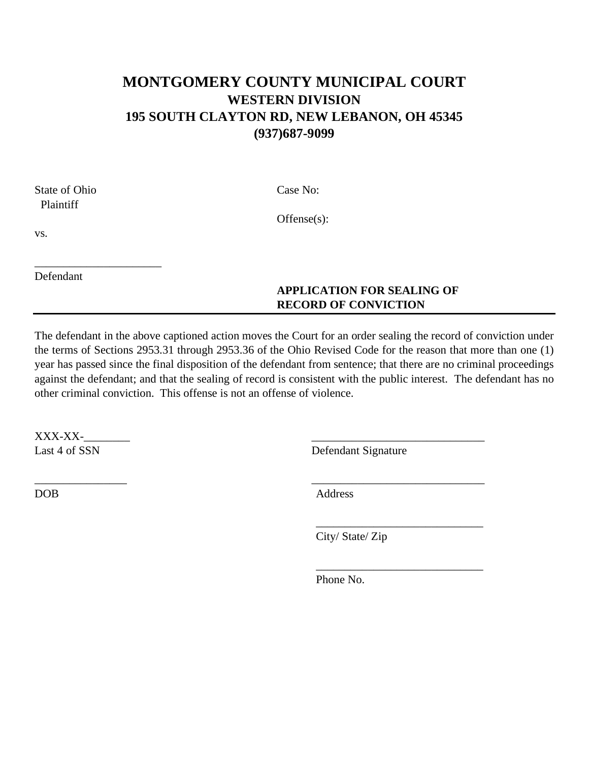## **MONTGOMERY COUNTY MUNICIPAL COURT WESTERN DIVISION 195 SOUTH CLAYTON RD, NEW LEBANON, OH 45345 (937)687-9099**

State of Ohio Case No: Plaintiff

Offense(s):

vs.

\_\_\_\_\_\_\_\_\_\_\_\_\_\_\_\_\_\_\_\_\_\_ Defendant

### **APPLICATION FOR SEALING OF RECORD OF CONVICTION**

The defendant in the above captioned action moves the Court for an order sealing the record of conviction under the terms of Sections 2953.31 through 2953.36 of the Ohio Revised Code for the reason that more than one (1) year has passed since the final disposition of the defendant from sentence; that there are no criminal proceedings against the defendant; and that the sealing of record is consistent with the public interest. The defendant has no other criminal conviction. This offense is not an offense of violence.

 $\bf XXX\text{-}XX$ - $\bf XX$ 

Last 4 of SSN Defendant Signature

DOB Address

City/ State/ Zip

\_\_\_\_\_\_\_\_\_\_\_\_\_\_\_\_\_\_\_\_\_\_\_\_\_\_\_\_\_

\_\_\_\_\_\_\_\_\_\_\_\_\_\_\_\_\_\_\_\_\_\_\_\_\_\_\_\_\_

Phone No.

 $\overline{\phantom{a}}$  , and the contract of the contract of the contract of the contract of the contract of the contract of the contract of the contract of the contract of the contract of the contract of the contract of the contrac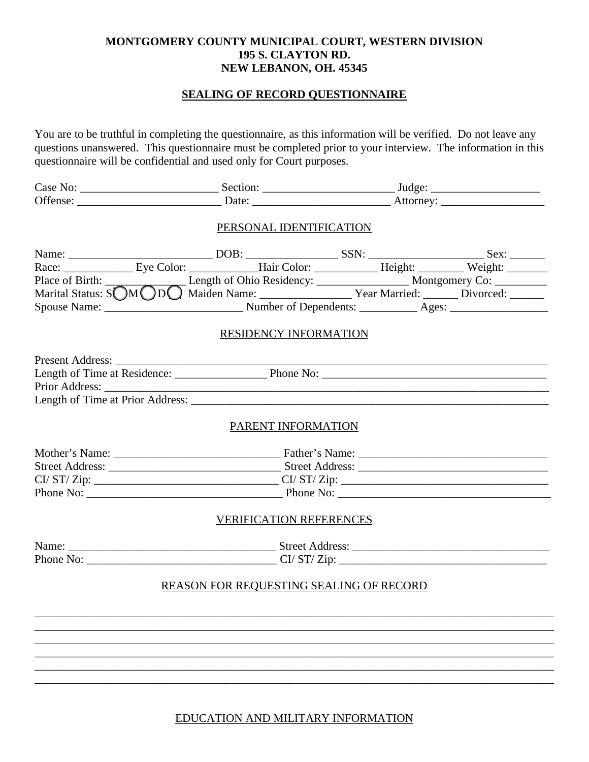#### **MONTGOMERY COUNTY MUNICIPAL COURT, WESTERN DIVISION 195 S. CLAYTON RD. NEW LEBANON, OH. 45345**

#### **SEALING OF RECORD QUESTIONNAIRE**

You are to be truthful in completing the questionnaire, as this information will be verified. Do not leave any questions unanswered. This questionnaire must be completed prior to your interview. The information in this questionnaire will be confidential and used only for Court purposes.

|  | PERSONAL IDENTIFICATION                 |  |  |  |
|--|-----------------------------------------|--|--|--|
|  |                                         |  |  |  |
|  |                                         |  |  |  |
|  |                                         |  |  |  |
|  |                                         |  |  |  |
|  |                                         |  |  |  |
|  | RESIDENCY INFORMATION                   |  |  |  |
|  |                                         |  |  |  |
|  |                                         |  |  |  |
|  | Length of Time at Prior Address:        |  |  |  |
|  | PARENT INFORMATION                      |  |  |  |
|  |                                         |  |  |  |
|  |                                         |  |  |  |
|  |                                         |  |  |  |
|  |                                         |  |  |  |
|  | <b>VERIFICATION REFERENCES</b>          |  |  |  |
|  |                                         |  |  |  |
|  |                                         |  |  |  |
|  | REASON FOR REQUESTING SEALING OF RECORD |  |  |  |
|  |                                         |  |  |  |
|  |                                         |  |  |  |
|  |                                         |  |  |  |
|  |                                         |  |  |  |
|  |                                         |  |  |  |
|  |                                         |  |  |  |

EDUCATION AND MILITARY INFORMATION